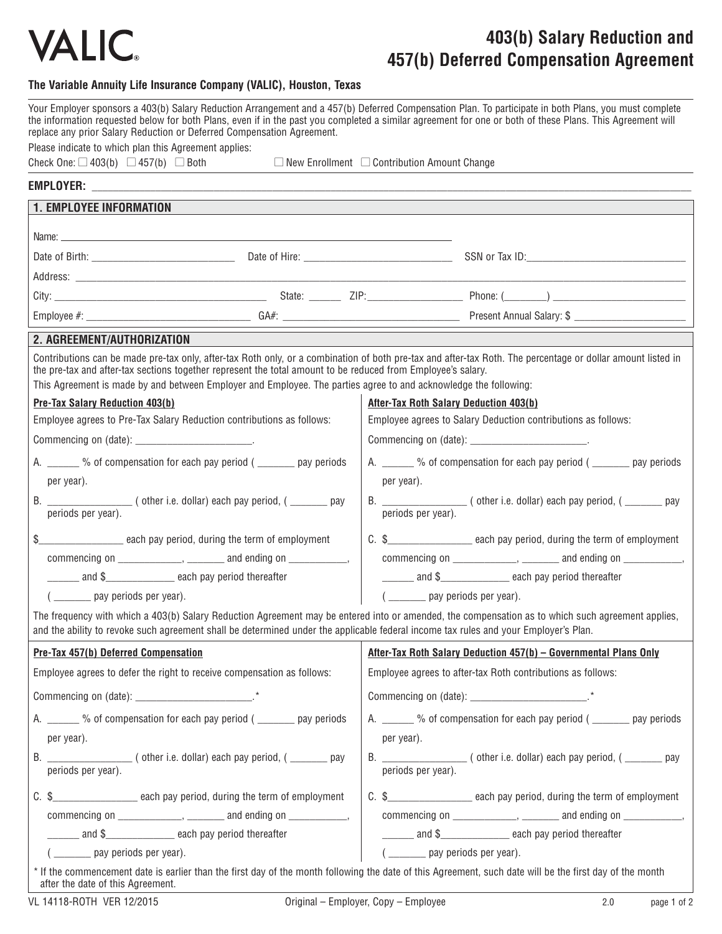

## **403(b) Salary Reduction and 457(b) Deferred Compensation Agreement**

### **The Variable Annuity Life Insurance Company (VALIC), Houston, Texas**

|                                                                                                             | replace any prior Salary Reduction or Deferred Compensation Agreement.                                                                                                                                                           | Your Employer sponsors a 403(b) Salary Reduction Arrangement and a 457(b) Deferred Compensation Plan. To participate in both Plans, you must complete<br>the information requested below for both Plans, even if in the past you completed a similar agreement for one or both of these Plans. This Agreement will |  |
|-------------------------------------------------------------------------------------------------------------|----------------------------------------------------------------------------------------------------------------------------------------------------------------------------------------------------------------------------------|--------------------------------------------------------------------------------------------------------------------------------------------------------------------------------------------------------------------------------------------------------------------------------------------------------------------|--|
| Please indicate to which plan this Agreement applies:<br>Check One: $\Box$ 403(b) $\Box$ 457(b) $\Box$ Both |                                                                                                                                                                                                                                  | $\Box$ New Enrollment $\Box$ Contribution Amount Change                                                                                                                                                                                                                                                            |  |
|                                                                                                             |                                                                                                                                                                                                                                  |                                                                                                                                                                                                                                                                                                                    |  |
| <b>1. EMPLOYEE INFORMATION</b>                                                                              |                                                                                                                                                                                                                                  |                                                                                                                                                                                                                                                                                                                    |  |
|                                                                                                             |                                                                                                                                                                                                                                  |                                                                                                                                                                                                                                                                                                                    |  |
|                                                                                                             |                                                                                                                                                                                                                                  |                                                                                                                                                                                                                                                                                                                    |  |
|                                                                                                             |                                                                                                                                                                                                                                  |                                                                                                                                                                                                                                                                                                                    |  |
|                                                                                                             |                                                                                                                                                                                                                                  |                                                                                                                                                                                                                                                                                                                    |  |
|                                                                                                             |                                                                                                                                                                                                                                  |                                                                                                                                                                                                                                                                                                                    |  |
| 2. AGREEMENT/AUTHORIZATION                                                                                  |                                                                                                                                                                                                                                  |                                                                                                                                                                                                                                                                                                                    |  |
|                                                                                                             |                                                                                                                                                                                                                                  | Contributions can be made pre-tax only, after-tax Roth only, or a combination of both pre-tax and after-tax Roth. The percentage or dollar amount listed in                                                                                                                                                        |  |
|                                                                                                             | the pre-tax and after-tax sections together represent the total amount to be reduced from Employee's salary.<br>This Agreement is made by and between Employer and Employee. The parties agree to and acknowledge the following: |                                                                                                                                                                                                                                                                                                                    |  |
| <b>Pre-Tax Salary Reduction 403(b)</b>                                                                      |                                                                                                                                                                                                                                  | <b>After-Tax Roth Salary Deduction 403(b)</b>                                                                                                                                                                                                                                                                      |  |
| Employee agrees to Pre-Tax Salary Reduction contributions as follows:                                       |                                                                                                                                                                                                                                  | Employee agrees to Salary Deduction contributions as follows:                                                                                                                                                                                                                                                      |  |
|                                                                                                             |                                                                                                                                                                                                                                  | Commencing on (date): ________________________.                                                                                                                                                                                                                                                                    |  |
| A. ______ % of compensation for each pay period ( ______ pay periods                                        |                                                                                                                                                                                                                                  | A. _______ % of compensation for each pay period ( _______ pay periods                                                                                                                                                                                                                                             |  |
| per year).                                                                                                  |                                                                                                                                                                                                                                  | per year).                                                                                                                                                                                                                                                                                                         |  |
| periods per year).                                                                                          |                                                                                                                                                                                                                                  | periods per year).                                                                                                                                                                                                                                                                                                 |  |
|                                                                                                             | \$__________________________ each pay period, during the term of employment                                                                                                                                                      | C. \$________________________ each pay period, during the term of employment                                                                                                                                                                                                                                       |  |
|                                                                                                             | $commoning on \_\_\_\_\_\_$ , $\_\_\_\_\_$ and ending on $\_\_\_\_\_\_\_\_$                                                                                                                                                      | commencing on ______________, _________ and ending on ____________,                                                                                                                                                                                                                                                |  |
|                                                                                                             | and \$_______________________ each pay period thereafter                                                                                                                                                                         | and \$______________________ each pay period thereafter                                                                                                                                                                                                                                                            |  |
| ( _________ pay periods per year).                                                                          |                                                                                                                                                                                                                                  | ( ________ pay periods per year).                                                                                                                                                                                                                                                                                  |  |
|                                                                                                             |                                                                                                                                                                                                                                  | The frequency with which a 403(b) Salary Reduction Agreement may be entered into or amended, the compensation as to which such agreement applies,<br>and the ability to revoke such agreement shall be determined under the applicable federal income tax rules and your Employer's Plan.                          |  |
| <b>Pre-Tax 457(b) Deferred Compensation</b>                                                                 |                                                                                                                                                                                                                                  | After-Tax Roth Salary Deduction 457(b) - Governmental Plans Only                                                                                                                                                                                                                                                   |  |
|                                                                                                             | Employee agrees to defer the right to receive compensation as follows:                                                                                                                                                           | Employee agrees to after-tax Roth contributions as follows:                                                                                                                                                                                                                                                        |  |
|                                                                                                             |                                                                                                                                                                                                                                  |                                                                                                                                                                                                                                                                                                                    |  |
|                                                                                                             | A. _______ % of compensation for each pay period ( _______ pay periods                                                                                                                                                           | A. ______ % of compensation for each pay period ( ______ pay periods                                                                                                                                                                                                                                               |  |
| per year).                                                                                                  |                                                                                                                                                                                                                                  | per year).                                                                                                                                                                                                                                                                                                         |  |
| periods per year).                                                                                          | (other i.e. dollar) each pay period, ( ______ pay                                                                                                                                                                                | B. $\frac{1}{\text{periods per year}}$ (other i.e. dollar) each pay period, ( $\frac{1}{\text{periods per year}}$ pay                                                                                                                                                                                              |  |
|                                                                                                             | C. \$________________________ each pay period, during the term of employment                                                                                                                                                     | C. \$________________________ each pay period, during the term of employment                                                                                                                                                                                                                                       |  |
|                                                                                                             | commencing on $\frac{1}{1}$ , $\frac{1}{1}$ and ending on $\frac{1}{1}$ ,                                                                                                                                                        | commencing on $\sqrt{2}$ , $\sqrt{2}$ and ending on $\sqrt{2}$ , $\sqrt{2}$                                                                                                                                                                                                                                        |  |
|                                                                                                             | and \$______________________ each pay period thereafter                                                                                                                                                                          | and \$______________________ each pay period thereafter                                                                                                                                                                                                                                                            |  |
| ( _________ pay periods per year).                                                                          |                                                                                                                                                                                                                                  | ( ________ pay periods per year).                                                                                                                                                                                                                                                                                  |  |
| after the date of this Agreement.                                                                           |                                                                                                                                                                                                                                  | * If the commencement date is earlier than the first day of the month following the date of this Agreement, such date will be the first day of the month                                                                                                                                                           |  |